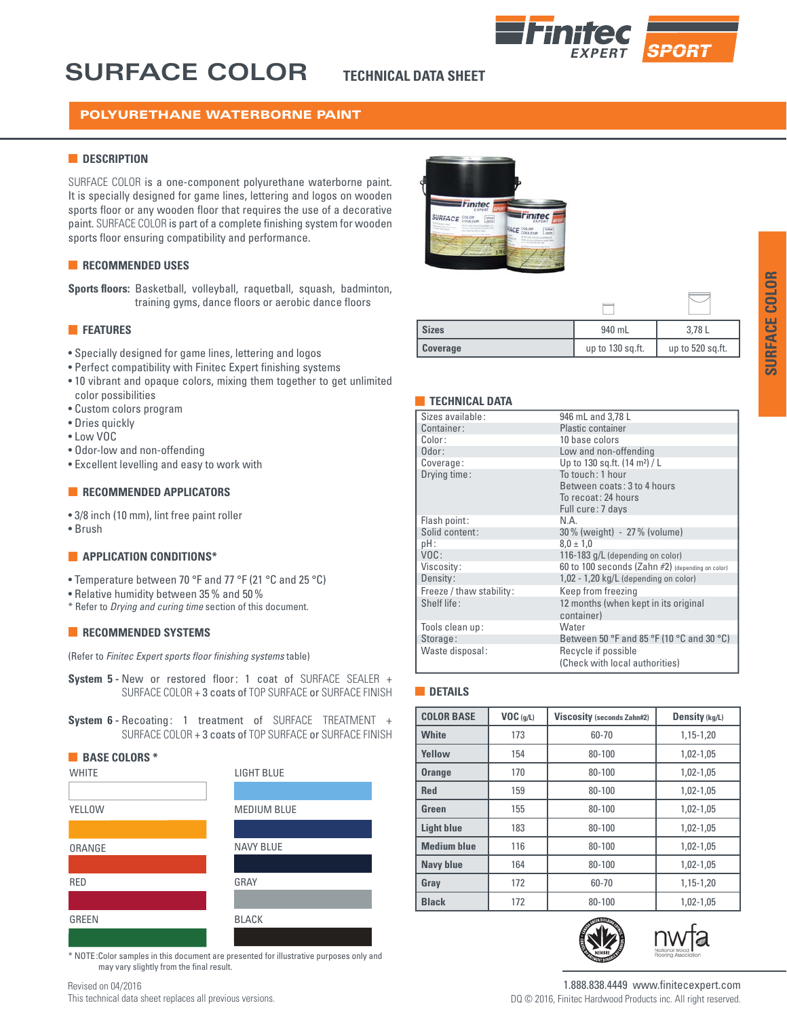## **SURFACE COLOR**

## **TECHNICAL DATA SHEET**



## POLYURETHANE WATERBORNE PAINT

## **DESCRIPTION**

SURFACE COLOR is a one-component polyurethane waterborne paint. It is specially designed for game lines, lettering and logos on wooden sports floor or any wooden floor that requires the use of a decorative paint. SURFACE COLOR is part of a complete finishing system for wooden sports floor ensuring compatibility and performance.

## **RECOMMENDED USES**

**Sports floors:** Basketball, volleyball, raquetball, squash, badminton, training gyms, dance floors or aerobic dance floors

## **FEATURES**

- Specially designed for game lines, lettering and logos
- Perfect compatibility with Finitec Expert finishing systems
- 10 vibrant and opaque colors, mixing them together to get unlimited color possibilities
- Custom colors program
- Dries quickly
- Low VOC
- Odor-low and non-offending
- Excellent levelling and easy to work with

#### **RECOMMENDED APPLICATORS**

- 3/8 inch (10 mm), lint free paint roller
- Brush

#### **APPLICATION CONDITIONS\***

- Temperature between 70 °F and 77 °F (21 °C and 25 °C)
- Relative humidity between 35% and 50 %
- \* Refer to *Drying and curing time* section of this document.

## **RECOMMENDED SYSTEMS**

(Refer to *Finitec Expert sports floor finishing systems* table)

- **System 5 -** New or restored floor: 1 coat of SURFACE SEALER + SURFACE COLOR + 3 coats of TOP SURFACE or SURFACE FINISH
- **System 6 -** Recoating: 1 treatment of SURFACE TREATMENT + SURFACE COLOR + 3 coats of TOP SURFACE or SURFACE FINISH



\* NOTE :Color samples in this document are presented for illustrative purposes only and may vary slightly from the final result.

Revised on 04/2016

This technical data sheet replaces all previous versions.



| <b>Sizes</b>    | 940 mL           | 3,78 L           |
|-----------------|------------------|------------------|
| <b>Coverage</b> | up to 130 sq.ft. | up to 520 sq.ft. |

#### **TECHNICAL DATA**

| Sizes available:         | 946 mL and 3,78 L                                |  |
|--------------------------|--------------------------------------------------|--|
| Container:               | Plastic container                                |  |
| Color:                   | 10 base colors                                   |  |
| Odor:                    | Low and non-offending                            |  |
| Coverage:                | Up to 130 sq.ft. (14 m <sup>2</sup> ) / L        |  |
| Drying time:             | To touch: 1 hour                                 |  |
|                          | Between coats: 3 to 4 hours                      |  |
|                          | To recoat: 24 hours                              |  |
|                          | Full cure: 7 days                                |  |
| Flash point:             | N.A                                              |  |
| Solid content:           | 30 % (weight) - 27 % (volume)                    |  |
| pH:                      | $8.0 \pm 1.0$                                    |  |
| VOC:                     | 116-183 g/L (depending on color)                 |  |
| Viscosity:               | 60 to 100 seconds (Zahn #2) (depending on color) |  |
| Density:                 | 1,02 - 1,20 kg/L (depending on color)            |  |
| Freeze / thaw stability: | Keep from freezing                               |  |
| Shelf life:              | 12 months (when kept in its original             |  |
|                          | container)                                       |  |
| Tools clean up:          | Water                                            |  |
| Storage:                 | Between 50 °F and 85 °F (10 °C and 30 °C)        |  |
| Waste disposal:          | Recycle if possible                              |  |
|                          | (Check with local authorities)                   |  |
|                          |                                                  |  |

## **DETAILS**

| <b>COLOR BASE</b>  | VOC(q/L) | <b>Viscosity (seconds Zahn#2)</b> | Density (kg/L) |
|--------------------|----------|-----------------------------------|----------------|
| <b>White</b>       | 173      | 60-70                             | 1,15-1,20      |
| Yellow             | 154      | $80 - 100$                        | 1,02-1,05      |
| <b>Orange</b>      | 170      | $80 - 100$                        | $1.02 - 1.05$  |
| <b>Red</b>         | 159      | $80 - 100$                        | 1,02-1,05      |
| Green              | 155      | $80 - 100$                        | 1,02-1,05      |
| <b>Light blue</b>  | 183      | $80 - 100$                        | 1,02-1,05      |
| <b>Medium blue</b> | 116      | $80 - 100$                        | $1.02 - 1.05$  |
| <b>Navy blue</b>   | 164      | $80 - 100$                        | 1,02-1,05      |
| Gray               | 172      | 60-70                             | 1,15-1,20      |
| <b>Black</b>       | 172      | $80 - 100$                        | $1,02-1,05$    |





1.888.838.4449 www.finitecexpert.com DQ © 2016, Finitec Hardwood Products inc. All right reserved.